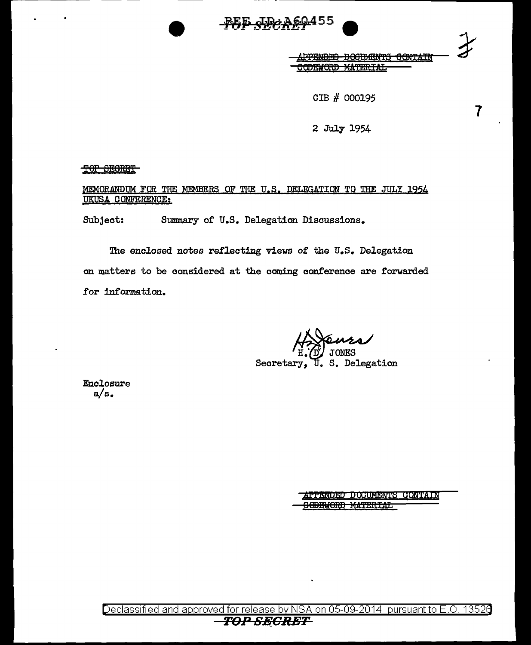

<del>بر ۱۳۸</del>

 $\overline{7}$ 

CIB # 000195

2 July 1954

TOP SECRET

MEMORANDUM FOR THE MEMBERS OF THE U.S. DELEGATION TO THE JULY 1954 **UKUSA CONFERENCE:** 

Subject: Summary of U.S. Delegation Discussions.

The enclosed notes reflecting views of the U.S. Delegation on matters to be considered at the coming conference are forwarded for information.

S. Delegation Secretary

Enclosure  $a/s.$ 

> **APPENDED DOCUMENTS CONTAIN** <del>JODEWORD MATERIAL</del>

Declassified and approved for release by NSA on 05-09-2014 pursuant to E.O. 13526 TOP SECRET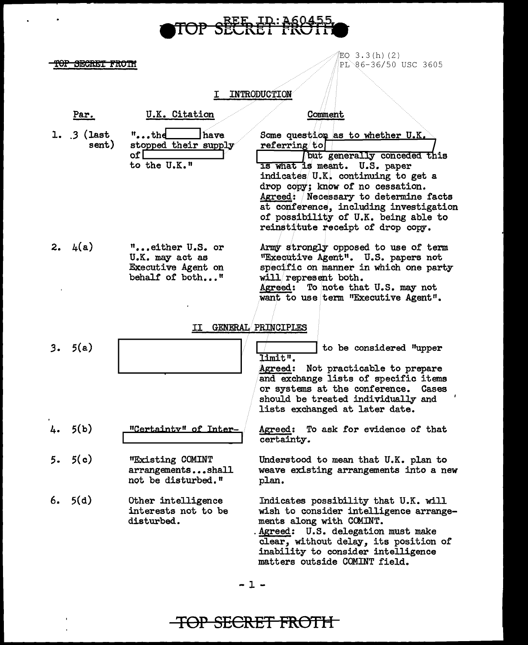# TOP SEERET FROIFI

 $EQ$  3.3(h)(2)  $\blacksquare$  TOP SECRET FROTH  $\blacksquare$   $\blacksquare$   $\blacksquare$   $\blacksquare$   $\blacksquare$   $\blacksquare$   $\blacksquare$   $\blacksquare$   $\blacksquare$   $\blacksquare$   $\blacksquare$   $\blacksquare$   $\blacksquare$   $\blacksquare$   $\blacksquare$   $\blacksquare$   $\blacksquare$   $\blacksquare$   $\blacksquare$   $\blacksquare$   $\blacksquare$   $\blacksquare$   $\blacksquare$   $\blacksquare$   $\blacksquare$   $\blacksquare$   $\blacksquare$   $\blacksquare$ 

### I INTRODUCTION

|    | Par.                 | U.K. Citation                                                                       | Comment                                                                                                                                                                                                                                                                                                                                                  |
|----|----------------------|-------------------------------------------------------------------------------------|----------------------------------------------------------------------------------------------------------------------------------------------------------------------------------------------------------------------------------------------------------------------------------------------------------------------------------------------------------|
|    | $1.3$ (last<br>sent) | $^{\prime\prime}$ the<br>¦have<br>stopped their supply<br>of $\Box$<br>to the U.K." | Some question as to whether U.K.<br>referring to<br>but generally conceded this<br>Is what is meant. U.S. paper<br>indicates U.K. continuing to get a<br>drop copy; know of no cessation.<br>Agreed: Necessary to determine facts<br>at conference, including investigation<br>of possibility of U.K. being able to<br>reinstitute receipt of drop copy. |
|    | 2. $4(a)$            | "either U.S. or<br>U.K. may act as<br>Executive Agent on<br>behalf of both"         | Army strongly opposed to use of term<br>"Executive Agent". U.S. papers not<br>specific on manner in which one party<br>will represent both.<br>Agreed: To note that U.S. may not<br>want to use term "Executive Agent".                                                                                                                                  |
|    |                      | п                                                                                   | <b>GENERAL PRINCIPLES</b>                                                                                                                                                                                                                                                                                                                                |
|    | 3.5(a)               |                                                                                     | to be considered "upper<br>limit".<br>Agreed: Not practicable to prepare<br>and exchange lists of specific items<br>or systems at the conference.<br>Cases<br>should be treated individually and<br>lists exchanged at later date.                                                                                                                       |
| 4. | 5(b)                 | "Certainty" of Inter-                                                               | To ask for evidence of that<br>Agreed:<br>certainty.                                                                                                                                                                                                                                                                                                     |
| 5. | 5(c)                 | "Existing COMINT<br>arrangementsshall<br>not be disturbed."                         | Understood to mean that U.K. plan to<br>weave existing arrangements into a new<br>plan.                                                                                                                                                                                                                                                                  |
|    | 6.5(d)               | Other intelligence<br>interests not to be<br>disturbed.                             | Indicates possibility that U.K. will<br>wish to consider intelligence arrange-<br>ments along with COMINT.<br>Agreed: U.S. delegation must make<br>clear, without delay, its position of<br>inability to consider intelligence<br>matters outside COMINT field.                                                                                          |

 $-1 -$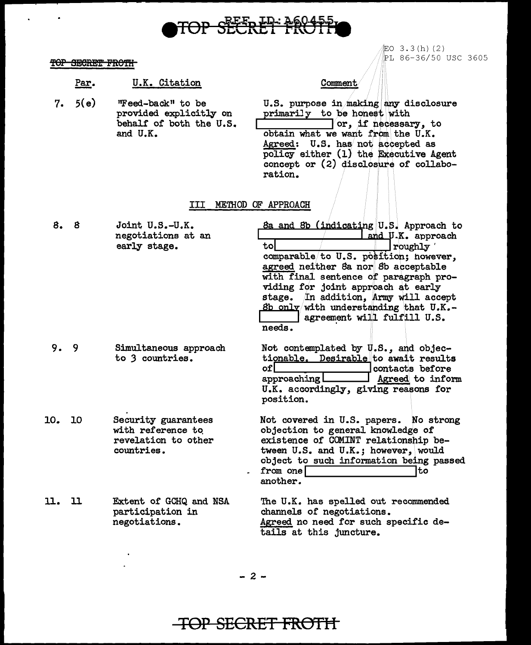## TOP SEERET FROT

LO 3.3(h)(2) PL 86-36/50 USC 3605

### TOP SECRET FROTH

Par. U.K. Citation

Comment

 $7.5(e)$ "Feed-back" to be U.S. purpose in making any disclosure provided explicitly on primarily to be honest with behalf of both the U.S.  $\lceil$  or, if necessary, to and U.K. obtain what we want from the U.K. Agreed: U.S. has not accepted as policy either (1) the Executive Agent<br>concept or (2) disclosure of collabo-

ration.

### III METHOD OF APPROACH

| 8.  | 8  | Joint U.S.-U.K.<br>negotiations at an<br>early stage.                         | 8a and 8b (indicating U.S. Approach to<br>and U.K. approach<br>tol<br>roughly<br>comparable/to U.S. position; however,<br>agreed neither Sa nor Sb acceptable<br>with final sentence of paragraph pro-<br>viding for joint approach at early<br>stage. In addition, Army will accept<br><u>8b only</u> with understanding that $U.K. -$<br>agreement will fulfill U.S.<br>needs. |
|-----|----|-------------------------------------------------------------------------------|----------------------------------------------------------------------------------------------------------------------------------------------------------------------------------------------------------------------------------------------------------------------------------------------------------------------------------------------------------------------------------|
| 9.  | 9  | Simultaneous approach<br>to 3 countries.                                      | Not contemplated by U.S., and objec-<br>tionable. Desirable to await results<br>ofl<br>contacts before<br>Agreed to inform<br>approaching l<br>U.K. accordingly, giving reasons for<br>position.                                                                                                                                                                                 |
| 10. | 10 | Security guarantees<br>with reference to<br>revelation to other<br>countries. | Not covered in U.S. papers. No strong<br>objection to general knowledge of<br>existence of COMINT relationship be-<br>tween U.S. and U.K.; however, would<br>object to such information being passed<br>to<br>from one<br>another.                                                                                                                                               |
| 11. | 11 | Extent of GCHQ and NSA<br>participation in<br>negotiations.                   | The U.K. has spelled out recommended<br>channels of negotiations.<br>Agreed no need for such specific de-<br>tails at this juncture.                                                                                                                                                                                                                                             |

 $-2-$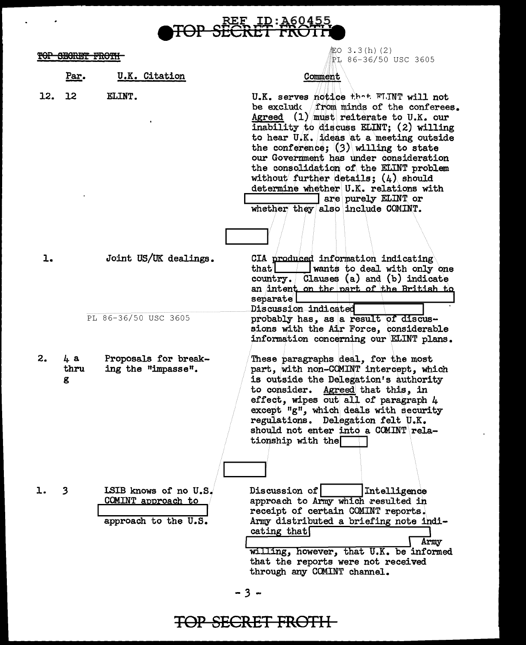<del></del> iO 3.3(h)(2)

TOP SECRET FROTH PL 86-36/50 USC 3605 Comment Par. U.K. Citation 12. 12 ELINT. U.K. serves notice that FLINT will not be exclude from minds of the conferees. Agreed  $(1)$  must reiterate to U.K. our inability to discuss ELINT: (2) willing to hear U.K. ideas at a meeting outside the conference;  $(3)$  willing to state our Government has under consideration the consolidation of the ELINT problem without further details;  $(4)$  should determine whether U.K. relations with are purely ELINT or whether they also include COMINT.  $1.$ Joint US/UK dealings. CIA produced information indicating wants to deal with only one that I country. Clauses (a) and (b) indicate an intent on the part of the British to separate l Discussion indicated PL 86-36/50 USC 3605 probably has, as a result of discussions with the Air Force, considerable information concerning our ELINT plans.  $2.$  $4a$ Proposals for break-These paragraphs deal, for the most ing the "impasse". part, with non-COMINT intercept, which thru is outside the Delegation's authority g to consider. Agreed that this, in effect, wipes out all of paragraph 4 except "g", which deals with security regulations. Delegation felt U.K. should not enter into a COMINT relationship with the l.  $\mathbf{3}$ LSIB knows of no U.S. Discussion of | Intelligence COMINT approach to approach to Army which resulted in receipt of certain COMINT reports. approach to the U.S. Army distributed a briefing note indicating that Army willing, however, that U.K. be informed that the reports were not received

 $-3 -$ 

through any COMINT channel.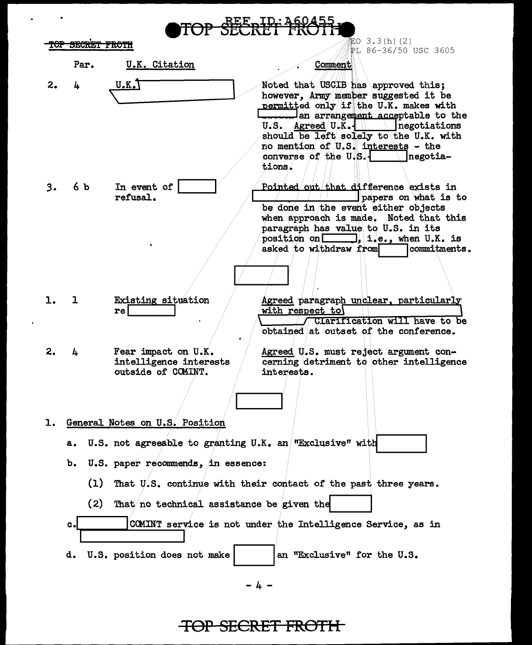|    |                                                                       |                                                                     | 証O 3.3(h)(2)                                                                                                                                                                                                                                                     |  |  |
|----|-----------------------------------------------------------------------|---------------------------------------------------------------------|------------------------------------------------------------------------------------------------------------------------------------------------------------------------------------------------------------------------------------------------------------------|--|--|
|    | <del>OP SECRET FROTH</del>                                            |                                                                     | PL 86-36/50 USC 3605                                                                                                                                                                                                                                             |  |  |
|    | Par.                                                                  | U.K. Citation                                                       | Comment                                                                                                                                                                                                                                                          |  |  |
| 2. | 4                                                                     | <u>U.K.T</u>                                                        | Noted that USCIB has approved this;<br>however, Army member suggested it be<br>permitted only if the U.K. makes with                                                                                                                                             |  |  |
|    |                                                                       |                                                                     | <u>etal</u> an arrangement acceptable to the<br>$U.S.$ Agreed $U.K.-$<br>negotiations<br>should be left solely to the U.K. with<br>no mention of U.S. interests - the<br>converse of the U.S.<br>negotia-<br>tions.                                              |  |  |
| 3. | 6 b                                                                   | In event of<br>refusal.                                             | Pointed out that difference exists in<br>papers on what is to<br>be done in the event either objects<br>when approach is made. Noted that this<br>paragraph has value to U.S. in its<br>position on 1.e., when U.K. is<br>asked to withdraw from<br>commitments. |  |  |
| 1. |                                                                       | Existing situation<br>rel                                           | Agreed paragraph unclear, particularly<br>with respect to<br>/ Clarification will have to be<br>obtained at outset of the conference.                                                                                                                            |  |  |
| 2. | 4                                                                     | Fear impact on U.K.<br>intelligence interests<br>outside of COMINT. | Agreed U.S. must reject argument con-<br>cerning detriment to other intelligence<br>interests.                                                                                                                                                                   |  |  |
|    |                                                                       |                                                                     |                                                                                                                                                                                                                                                                  |  |  |
| ı. | General Notes on U.S. Position                                        |                                                                     |                                                                                                                                                                                                                                                                  |  |  |
|    | а.                                                                    | U.S. not agreeable to granting U.K. an "Exclusive" with             |                                                                                                                                                                                                                                                                  |  |  |
|    | b.                                                                    | U.S. paper recommends, in essence:                                  |                                                                                                                                                                                                                                                                  |  |  |
|    | (1)<br>That U.S. continue with their contact of the past three years. |                                                                     |                                                                                                                                                                                                                                                                  |  |  |
|    | (2)<br>That no technical assistance be given the                      |                                                                     |                                                                                                                                                                                                                                                                  |  |  |
|    | $c_{\bullet}$                                                         |                                                                     | COMINT service is not under the Intelligence Service, as in                                                                                                                                                                                                      |  |  |
|    |                                                                       | d. U.S. position does not make                                      | an "Exclusive" for the U.S.                                                                                                                                                                                                                                      |  |  |
|    |                                                                       |                                                                     | - 4 -                                                                                                                                                                                                                                                            |  |  |